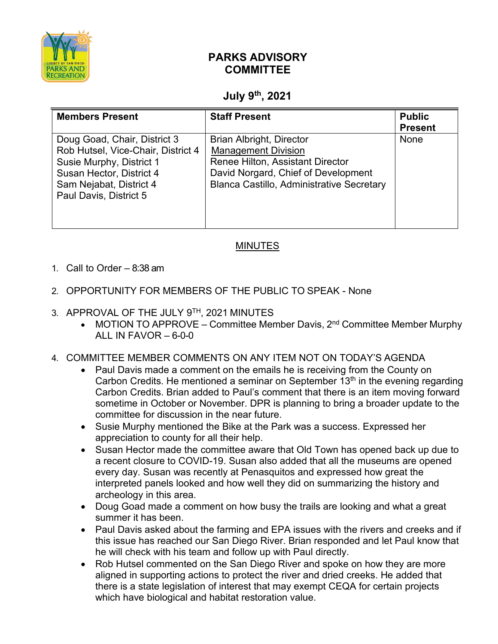

## **PARKS ADVISORY COMMITTEE**

## **July 9th, 2021**

| <b>Members Present</b>                                                                                                                                                          | <b>Staff Present</b>                                                                                                                                                                         | <b>Public</b><br><b>Present</b> |
|---------------------------------------------------------------------------------------------------------------------------------------------------------------------------------|----------------------------------------------------------------------------------------------------------------------------------------------------------------------------------------------|---------------------------------|
| Doug Goad, Chair, District 3<br>Rob Hutsel, Vice-Chair, District 4<br>Susie Murphy, District 1<br>Susan Hector, District 4<br>Sam Nejabat, District 4<br>Paul Davis, District 5 | <b>Brian Albright, Director</b><br><b>Management Division</b><br>Renee Hilton, Assistant Director<br>David Norgard, Chief of Development<br><b>Blanca Castillo, Administrative Secretary</b> | <b>None</b>                     |

## MINUTES

- 1. Call to Order 8:38 am
- 2. OPPORTUNITY FOR MEMBERS OF THE PUBLIC TO SPEAK None
- 3. APPROVAL OF THE JULY 9TH, 2021 MINUTES
	- MOTION TO APPROVE Committee Member Davis,  $2<sup>nd</sup>$  Committee Member Murphy ALL IN FAVOR  $-6-0-0$
- 4. COMMITTEE MEMBER COMMENTS ON ANY ITEM NOT ON TODAY'S AGENDA
	- Paul Davis made a comment on the emails he is receiving from the County on Carbon Credits. He mentioned a seminar on September  $13<sup>th</sup>$  in the evening regarding Carbon Credits. Brian added to Paul's comment that there is an item moving forward sometime in October or November. DPR is planning to bring a broader update to the committee for discussion in the near future.
	- Susie Murphy mentioned the Bike at the Park was a success. Expressed her appreciation to county for all their help.
	- Susan Hector made the committee aware that Old Town has opened back up due to a recent closure to COVID-19. Susan also added that all the museums are opened every day. Susan was recently at Penasquitos and expressed how great the interpreted panels looked and how well they did on summarizing the history and archeology in this area.
	- Doug Goad made a comment on how busy the trails are looking and what a great summer it has been.
	- Paul Davis asked about the farming and EPA issues with the rivers and creeks and if this issue has reached our San Diego River. Brian responded and let Paul know that he will check with his team and follow up with Paul directly.
	- Rob Hutsel commented on the San Diego River and spoke on how they are more aligned in supporting actions to protect the river and dried creeks. He added that there is a state legislation of interest that may exempt CEQA for certain projects which have biological and habitat restoration value.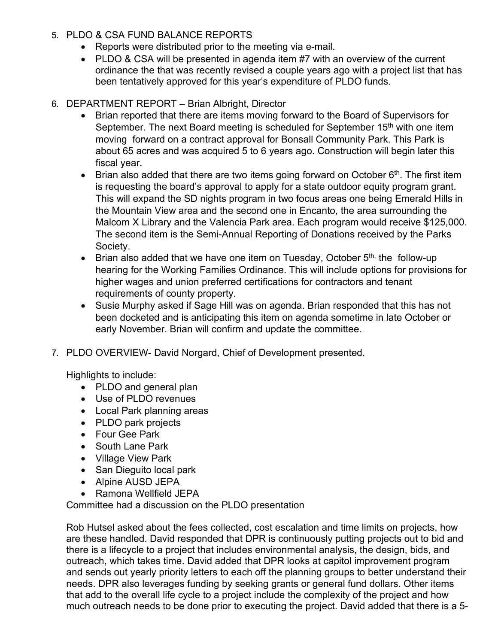- 5. PLDO & CSA FUND BALANCE REPORTS
	- Reports were distributed prior to the meeting via e-mail.
	- PLDO & CSA will be presented in agenda item #7 with an overview of the current ordinance the that was recently revised a couple years ago with a project list that has been tentatively approved for this year's expenditure of PLDO funds.
- 6. DEPARTMENT REPORT Brian Albright, Director
	- Brian reported that there are items moving forward to the Board of Supervisors for September. The next Board meeting is scheduled for September 15<sup>th</sup> with one item moving forward on a contract approval for Bonsall Community Park. This Park is about 65 acres and was acquired 5 to 6 years ago. Construction will begin later this fiscal year.
	- Brian also added that there are two items going forward on October  $6<sup>th</sup>$ . The first item is requesting the board's approval to apply for a state outdoor equity program grant. This will expand the SD nights program in two focus areas one being Emerald Hills in the Mountain View area and the second one in Encanto, the area surrounding the Malcom X Library and the Valencia Park area. Each program would receive \$125,000. The second item is the Semi-Annual Reporting of Donations received by the Parks Society.
	- Brian also added that we have one item on Tuesday, October  $5<sup>th</sup>$ , the follow-up hearing for the Working Families Ordinance. This will include options for provisions for higher wages and union preferred certifications for contractors and tenant requirements of county property.
	- Susie Murphy asked if Sage Hill was on agenda. Brian responded that this has not been docketed and is anticipating this item on agenda sometime in late October or early November. Brian will confirm and update the committee.
- 7. PLDO OVERVIEW- David Norgard, Chief of Development presented.

Highlights to include:

- PLDO and general plan
- Use of PLDO revenues
- Local Park planning areas
- PLDO park projects
- Four Gee Park
- South Lane Park
- Village View Park
- San Dieguito local park
- Alpine AUSD JEPA
- Ramona Wellfield JEPA

Committee had a discussion on the PLDO presentation

Rob Hutsel asked about the fees collected, cost escalation and time limits on projects, how are these handled. David responded that DPR is continuously putting projects out to bid and there is a lifecycle to a project that includes environmental analysis, the design, bids, and outreach, which takes time. David added that DPR looks at capitol improvement program and sends out yearly priority letters to each off the planning groups to better understand their needs. DPR also leverages funding by seeking grants or general fund dollars. Other items that add to the overall life cycle to a project include the complexity of the project and how much outreach needs to be done prior to executing the project. David added that there is a 5